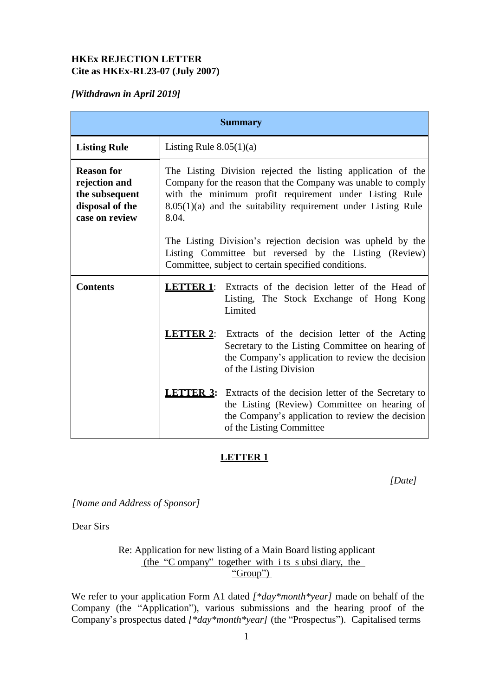## **HKEx REJECTION LETTER Cite as HKEx-RL23-07 (July 2007)**

## *[Withdrawn in April 2019]*

| <b>Summary</b>                                                                            |                                                                                                                                                                                                                                                                  |                                                                                                                                                                                                      |
|-------------------------------------------------------------------------------------------|------------------------------------------------------------------------------------------------------------------------------------------------------------------------------------------------------------------------------------------------------------------|------------------------------------------------------------------------------------------------------------------------------------------------------------------------------------------------------|
| <b>Listing Rule</b>                                                                       | Listing Rule $8.05(1)(a)$                                                                                                                                                                                                                                        |                                                                                                                                                                                                      |
| <b>Reason for</b><br>rejection and<br>the subsequent<br>disposal of the<br>case on review | The Listing Division rejected the listing application of the<br>Company for the reason that the Company was unable to comply<br>with the minimum profit requirement under Listing Rule<br>8.05(1)(a) and the suitability requirement under Listing Rule<br>8.04. |                                                                                                                                                                                                      |
|                                                                                           | The Listing Division's rejection decision was upheld by the<br>Listing Committee but reversed by the Listing (Review)<br>Committee, subject to certain specified conditions.                                                                                     |                                                                                                                                                                                                      |
| <b>Contents</b>                                                                           |                                                                                                                                                                                                                                                                  | <b>LETTER 1:</b> Extracts of the decision letter of the Head of<br>Listing, The Stock Exchange of Hong Kong<br>Limited                                                                               |
|                                                                                           |                                                                                                                                                                                                                                                                  | <b>LETTER 2:</b> Extracts of the decision letter of the Acting<br>Secretary to the Listing Committee on hearing of<br>the Company's application to review the decision<br>of the Listing Division    |
|                                                                                           |                                                                                                                                                                                                                                                                  | <b>LETTER 3:</b> Extracts of the decision letter of the Secretary to<br>the Listing (Review) Committee on hearing of<br>the Company's application to review the decision<br>of the Listing Committee |

## **LETTER 1**

*[Date]*

*[Name and Address of Sponsor]*

Dear Sirs

Re: Application for new listing of a Main Board listing applicant (the "C ompany" together with i ts s ubsi diary, the "Group")

We refer to your application Form A1 dated *[\*day\*month\*year]* made on behalf of the Company (the "Application"), various submissions and the hearing proof of the Company's prospectus dated *[\*day\*month\*year]* (the "Prospectus"). Capitalised terms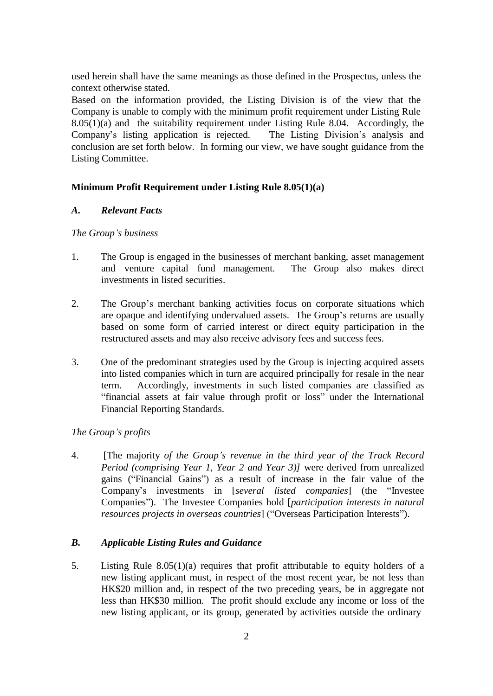used herein shall have the same meanings as those defined in the Prospectus, unless the context otherwise stated.

Based on the information provided, the Listing Division is of the view that the Company is unable to comply with the minimum profit requirement under Listing Rule 8.05(1)(a) and the suitability requirement under Listing Rule 8.04. Accordingly, the Company's listing application is rejected. The Listing Division's analysis and conclusion are set forth below. In forming our view, we have sought guidance from the Listing Committee.

## **Minimum Profit Requirement under Listing Rule 8.05(1)(a)**

#### *A. Relevant Facts*

#### *The Group's business*

- 1. The Group is engaged in the businesses of merchant banking, asset management and venture capital fund management. The Group also makes direct investments in listed securities.
- 2. The Group's merchant banking activities focus on corporate situations which are opaque and identifying undervalued assets. The Group's returns are usually based on some form of carried interest or direct equity participation in the restructured assets and may also receive advisory fees and success fees.
- 3. One of the predominant strategies used by the Group is injecting acquired assets into listed companies which in turn are acquired principally for resale in the near term. Accordingly, investments in such listed companies are classified as "financial assets at fair value through profit or loss" under the International Financial Reporting Standards.

#### *The Group's profits*

4. [The majority *of the Group's revenue in the third year of the Track Record Period (comprising Year 1, Year 2 and Year 3)]* were derived from unrealized gains ("Financial Gains") as a result of increase in the fair value of the Company's investments in [*several listed companies*] (the "Investee Companies"). The Investee Companies hold [*participation interests in natural resources projects in overseas countries*] ("Overseas Participation Interests").

#### *B. Applicable Listing Rules and Guidance*

5. Listing Rule 8.05(1)(a) requires that profit attributable to equity holders of a new listing applicant must, in respect of the most recent year, be not less than HK\$20 million and, in respect of the two preceding years, be in aggregate not less than HK\$30 million. The profit should exclude any income or loss of the new listing applicant, or its group, generated by activities outside the ordinary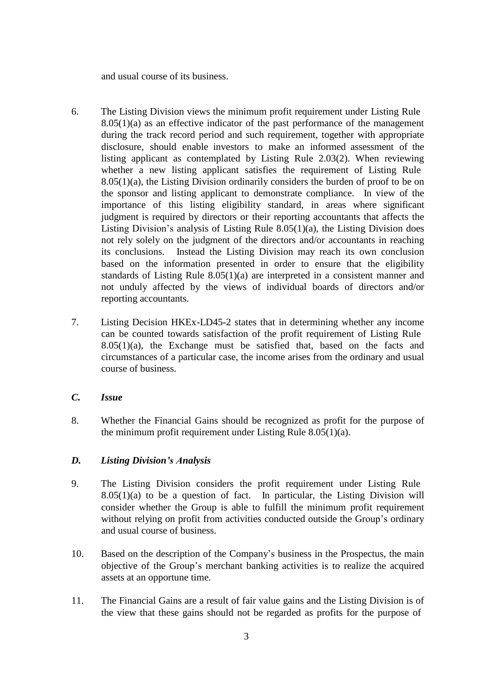and usual course of its business.

- 6. The Listing Division views the minimum profit requirement under Listing Rule  $8.05(1)(a)$  as an effective indicator of the past performance of the management during the track record period and such requirement, together with appropriate disclosure, should enable investors to make an informed assessment of the listing applicant as contemplated by Listing Rule 2.03(2). When reviewing whether a new listing applicant satisfies the requirement of Listing Rule  $8.05(1)(a)$ , the Listing Division ordinarily considers the burden of proof to be on the sponsor and listing applicant to demonstrate compliance. In view of the importance of this listing eligibility standard, in areas where significant judgment is required by directors or their reporting accountants that affects the Listing Division's analysis of Listing Rule 8.05(1)(a), the Listing Division does not rely solely on the judgment of the directors and/or accountants in reaching its conclusions. Instead the Listing Division may reach its own conclusion based on the information presented in order to ensure that the eligibility standards of Listing Rule 8.05(1)(a) are interpreted in a consistent manner and not unduly affected by the views of individual boards of directors and/or reporting accountants.
- 7. Listing Decision HKEx-LD45-2 states that in determining whether any income can be counted towards satisfaction of the profit requirement of Listing Rule  $8.05(1)(a)$ , the Exchange must be satisfied that, based on the facts and circumstances of a particular case, the income arises from the ordinary and usual course of business.

### *C. Issue*

8. Whether the Financial Gains should be recognized as profit for the purpose of the minimum profit requirement under Listing Rule 8.05(1)(a).

#### *D. Listing Division's Analysis*

- 9. The Listing Division considers the profit requirement under Listing Rule  $8.05(1)(a)$  to be a question of fact. In particular, the Listing Division will consider whether the Group is able to fulfill the minimum profit requirement without relying on profit from activities conducted outside the Group's ordinary and usual course of business.
- 10. Based on the description of the Company's business in the Prospectus, the main objective of the Group's merchant banking activities is to realize the acquired assets at an opportune time.
- 11. The Financial Gains are a result of fair value gains and the Listing Division is of the view that these gains should not be regarded as profits for the purpose of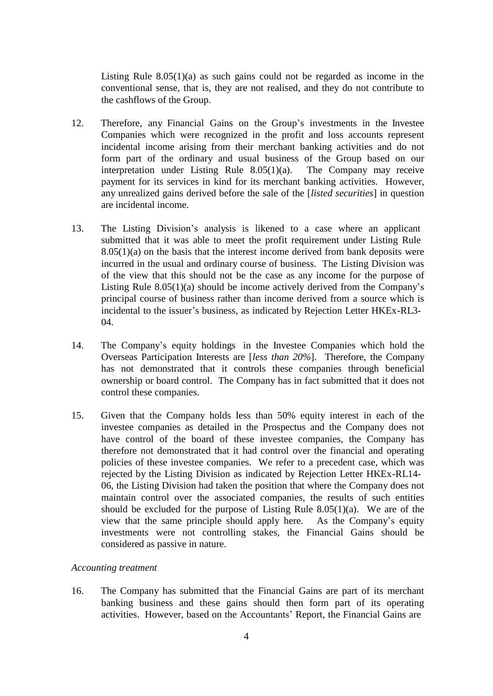Listing Rule 8.05(1)(a) as such gains could not be regarded as income in the conventional sense, that is, they are not realised, and they do not contribute to the cashflows of the Group.

- 12. Therefore, any Financial Gains on the Group's investments in the Investee Companies which were recognized in the profit and loss accounts represent incidental income arising from their merchant banking activities and do not form part of the ordinary and usual business of the Group based on our interpretation under Listing Rule 8.05(1)(a). The Company may receive payment for its services in kind for its merchant banking activities. However, any unrealized gains derived before the sale of the [*listed securities*] in question are incidental income.
- 13. The Listing Division's analysis is likened to a case where an applicant submitted that it was able to meet the profit requirement under Listing Rule  $8.05(1)(a)$  on the basis that the interest income derived from bank deposits were incurred in the usual and ordinary course of business. The Listing Division was of the view that this should not be the case as any income for the purpose of Listing Rule 8.05(1)(a) should be income actively derived from the Company's principal course of business rather than income derived from a source which is incidental to the issuer's business, as indicated by Rejection Letter HKEx-RL3- 04.
- 14. The Company's equity holdings in the Investee Companies which hold the Overseas Participation Interests are [*less than 20%*]. Therefore, the Company has not demonstrated that it controls these companies through beneficial ownership or board control. The Company has in fact submitted that it does not control these companies.
- 15. Given that the Company holds less than 50% equity interest in each of the investee companies as detailed in the Prospectus and the Company does not have control of the board of these investee companies, the Company has therefore not demonstrated that it had control over the financial and operating policies of these investee companies. We refer to a precedent case, which was rejected by the Listing Division as indicated by Rejection Letter HKEx-RL14- 06, the Listing Division had taken the position that where the Company does not maintain control over the associated companies, the results of such entities should be excluded for the purpose of Listing Rule  $8.05(1)(a)$ . We are of the view that the same principle should apply here. As the Company's equity investments were not controlling stakes, the Financial Gains should be considered as passive in nature.

#### *Accounting treatment*

16. The Company has submitted that the Financial Gains are part of its merchant banking business and these gains should then form part of its operating activities. However, based on the Accountants' Report, the Financial Gains are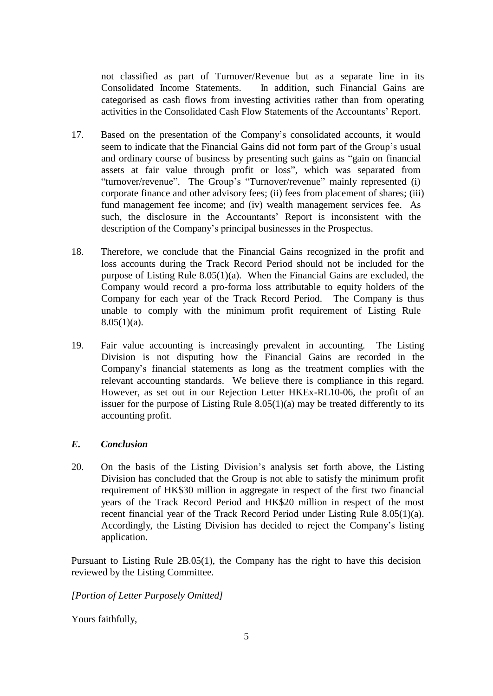not classified as part of Turnover/Revenue but as a separate line in its Consolidated Income Statements. In addition, such Financial Gains are categorised as cash flows from investing activities rather than from operating activities in the Consolidated Cash Flow Statements of the Accountants' Report.

- 17. Based on the presentation of the Company's consolidated accounts, it would seem to indicate that the Financial Gains did not form part of the Group's usual and ordinary course of business by presenting such gains as "gain on financial assets at fair value through profit or loss", which was separated from "turnover/revenue". The Group's "Turnover/revenue" mainly represented (i) corporate finance and other advisory fees; (ii) fees from placement of shares; (iii) fund management fee income; and (iv) wealth management services fee. As such, the disclosure in the Accountants' Report is inconsistent with the description of the Company's principal businesses in the Prospectus.
- 18. Therefore, we conclude that the Financial Gains recognized in the profit and loss accounts during the Track Record Period should not be included for the purpose of Listing Rule 8.05(1)(a). When the Financial Gains are excluded, the Company would record a pro-forma loss attributable to equity holders of the Company for each year of the Track Record Period. The Company is thus unable to comply with the minimum profit requirement of Listing Rule  $8.05(1)(a)$ .
- 19. Fair value accounting is increasingly prevalent in accounting. The Listing Division is not disputing how the Financial Gains are recorded in the Company's financial statements as long as the treatment complies with the relevant accounting standards. We believe there is compliance in this regard. However, as set out in our Rejection Letter HKEx-RL10-06, the profit of an issuer for the purpose of Listing Rule  $8.05(1)(a)$  may be treated differently to its accounting profit.

#### *E. Conclusion*

20. On the basis of the Listing Division's analysis set forth above, the Listing Division has concluded that the Group is not able to satisfy the minimum profit requirement of HK\$30 million in aggregate in respect of the first two financial years of the Track Record Period and HK\$20 million in respect of the most recent financial year of the Track Record Period under Listing Rule 8.05(1)(a). Accordingly, the Listing Division has decided to reject the Company's listing application.

Pursuant to Listing Rule 2B.05(1), the Company has the right to have this decision reviewed by the Listing Committee.

## *[Portion of Letter Purposely Omitted]*

Yours faithfully,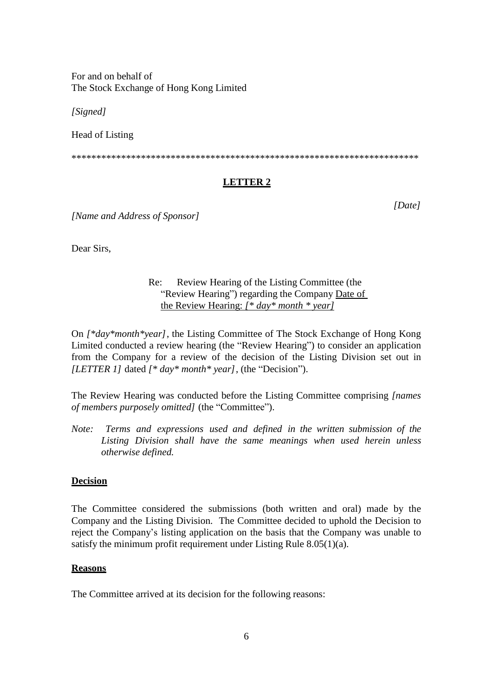For and on behalf of The Stock Exchange of Hong Kong Limited

*[Signed]*

Head of Listing

\*\*\*\*\*\*\*\*\*\*\*\*\*\*\*\*\*\*\*\*\*\*\*\*\*\*\*\*\*\*\*\*\*\*\*\*\*\*\*\*\*\*\*\*\*\*\*\*\*\*\*\*\*\*\*\*\*\*\*\*\*\*\*\*\*\*\*\*\*\*

# **LETTER 2**

*[Date]*

*[Name and Address of Sponsor]*

Dear Sirs,

## Re: Review Hearing of the Listing Committee (the "Review Hearing") regarding the Company Date of the Review Hearing: *[\* day\* month \* year]*

On *[\*day\*month\*year]*, the Listing Committee of The Stock Exchange of Hong Kong Limited conducted a review hearing (the "Review Hearing") to consider an application from the Company for a review of the decision of the Listing Division set out in *[LETTER 1]* dated *[\* day\* month\* year]*, (the "Decision").

The Review Hearing was conducted before the Listing Committee comprising *[names of members purposely omitted]* (the "Committee").

*Note: Terms and expressions used and defined in the written submission of the Listing Division shall have the same meanings when used herein unless otherwise defined.*

## **Decision**

The Committee considered the submissions (both written and oral) made by the Company and the Listing Division. The Committee decided to uphold the Decision to reject the Company's listing application on the basis that the Company was unable to satisfy the minimum profit requirement under Listing Rule 8.05(1)(a).

#### **Reasons**

The Committee arrived at its decision for the following reasons: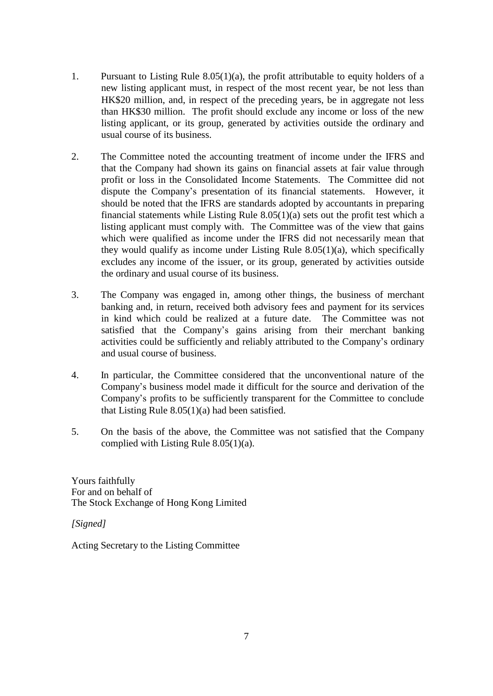- 1. Pursuant to Listing Rule 8.05(1)(a), the profit attributable to equity holders of a new listing applicant must, in respect of the most recent year, be not less than HK\$20 million, and, in respect of the preceding years, be in aggregate not less than HK\$30 million. The profit should exclude any income or loss of the new listing applicant, or its group, generated by activities outside the ordinary and usual course of its business.
- 2. The Committee noted the accounting treatment of income under the IFRS and that the Company had shown its gains on financial assets at fair value through profit or loss in the Consolidated Income Statements. The Committee did not dispute the Company's presentation of its financial statements. However, it should be noted that the IFRS are standards adopted by accountants in preparing financial statements while Listing Rule 8.05(1)(a) sets out the profit test which a listing applicant must comply with. The Committee was of the view that gains which were qualified as income under the IFRS did not necessarily mean that they would qualify as income under Listing Rule  $8.05(1)(a)$ , which specifically excludes any income of the issuer, or its group, generated by activities outside the ordinary and usual course of its business.
- 3. The Company was engaged in, among other things, the business of merchant banking and, in return, received both advisory fees and payment for its services in kind which could be realized at a future date. The Committee was not satisfied that the Company's gains arising from their merchant banking activities could be sufficiently and reliably attributed to the Company's ordinary and usual course of business.
- 4. In particular, the Committee considered that the unconventional nature of the Company's business model made it difficult for the source and derivation of the Company's profits to be sufficiently transparent for the Committee to conclude that Listing Rule 8.05(1)(a) had been satisfied.
- 5. On the basis of the above, the Committee was not satisfied that the Company complied with Listing Rule 8.05(1)(a).

Yours faithfully For and on behalf of The Stock Exchange of Hong Kong Limited

*[Signed]*

Acting Secretary to the Listing Committee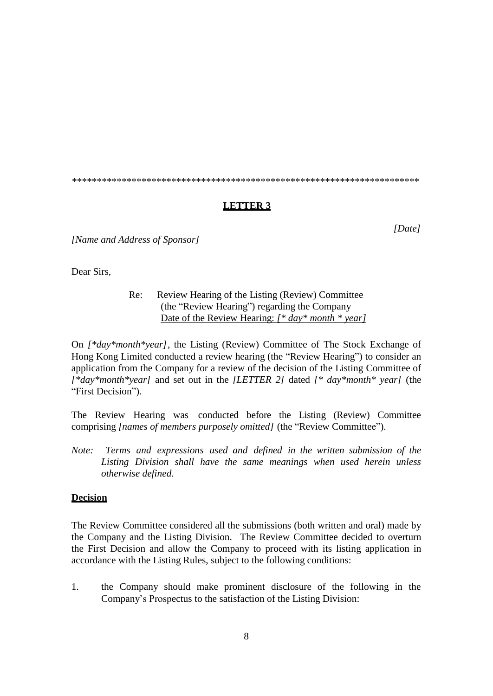\*\*\*\*\*\*\*\*\*\*\*\*\*\*\*\*\*\*\*\*\*\*\*\*\*\*\*\*\*\*\*\*\*\*\*\*\*\*\*\*\*\*\*\*\*\*\*\*\*\*\*\*\*\*\*\*\*\*\*\*\*\*\*\*\*\*\*\*\*\*

#### **LETTER 3**

*[Name and Address of Sponsor]*

Dear Sirs,

## Re: Review Hearing of the Listing (Review) Committee (the "Review Hearing") regarding the Company Date of the Review Hearing: *[\* day\* month \* year]*

On *[\*day\*month\*year]*, the Listing (Review) Committee of The Stock Exchange of Hong Kong Limited conducted a review hearing (the "Review Hearing") to consider an application from the Company for a review of the decision of the Listing Committee of *[\*day\*month\*year]* and set out in the *[LETTER 2]* dated *[\* day\*month\* year]* (the "First Decision").

The Review Hearing was conducted before the Listing (Review) Committee comprising *[names of members purposely omitted]* (the "Review Committee").

*Note: Terms and expressions used and defined in the written submission of the Listing Division shall have the same meanings when used herein unless otherwise defined.*

#### **Decision**

The Review Committee considered all the submissions (both written and oral) made by the Company and the Listing Division. The Review Committee decided to overturn the First Decision and allow the Company to proceed with its listing application in accordance with the Listing Rules, subject to the following conditions:

1. the Company should make prominent disclosure of the following in the Company's Prospectus to the satisfaction of the Listing Division:

*[Date]*